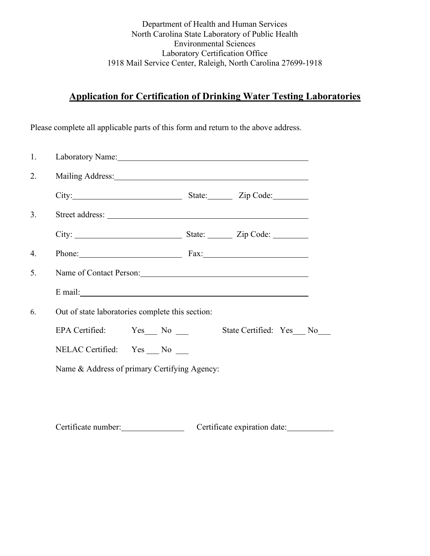Department of Health and Human Services North Carolina State Laboratory of Public Health Environmental Sciences Laboratory Certification Office 1918 Mail Service Center, Raleigh, North Carolina 27699-1918

# **Application for Certification of Drinking Water Testing Laboratories**

Please complete all applicable parts of this form and return to the above address.

| 1. | Laboratory Name: 1988 and 2008 and 2008 and 2008 and 2008 and 2008 and 2008 and 2008 and 2008 and 2008 and 200 |                                                                                                                                                                                                                               |  |  |  |  |  |  |  |
|----|----------------------------------------------------------------------------------------------------------------|-------------------------------------------------------------------------------------------------------------------------------------------------------------------------------------------------------------------------------|--|--|--|--|--|--|--|
| 2. | Mailing Address: National Address:                                                                             |                                                                                                                                                                                                                               |  |  |  |  |  |  |  |
|    |                                                                                                                | City: City: City: City: City: City: City: City: City: City: City: City: City: City: City: City: City: City: City: City: City: City: City: City: City: City: City: City: City: City: City: City: City: City: City: City: City: |  |  |  |  |  |  |  |
| 3. |                                                                                                                |                                                                                                                                                                                                                               |  |  |  |  |  |  |  |
|    |                                                                                                                |                                                                                                                                                                                                                               |  |  |  |  |  |  |  |
| 4. |                                                                                                                | Phone: Fax: Fax:                                                                                                                                                                                                              |  |  |  |  |  |  |  |
| 5. | Name of Contact Person:                                                                                        |                                                                                                                                                                                                                               |  |  |  |  |  |  |  |
|    |                                                                                                                |                                                                                                                                                                                                                               |  |  |  |  |  |  |  |
| 6. | Out of state laboratories complete this section:                                                               |                                                                                                                                                                                                                               |  |  |  |  |  |  |  |
|    | EPA Certified: Yes No                                                                                          | State Certified: Yes No                                                                                                                                                                                                       |  |  |  |  |  |  |  |
|    | NELAC Certified: Yes No                                                                                        |                                                                                                                                                                                                                               |  |  |  |  |  |  |  |
|    | Name & Address of primary Certifying Agency:                                                                   |                                                                                                                                                                                                                               |  |  |  |  |  |  |  |
|    |                                                                                                                |                                                                                                                                                                                                                               |  |  |  |  |  |  |  |
|    |                                                                                                                |                                                                                                                                                                                                                               |  |  |  |  |  |  |  |

Certificate number: Certificate expiration date: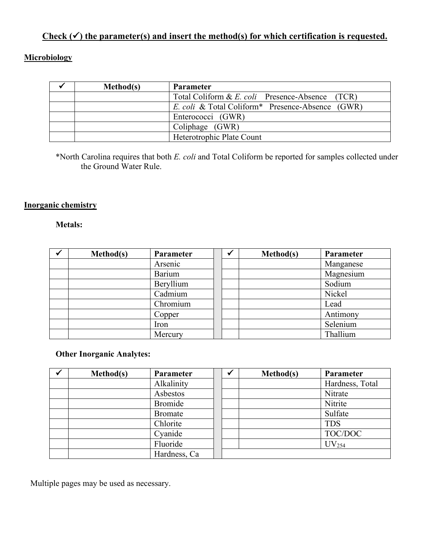# Check  $(\checkmark)$  the parameter(s) and insert the method(s) for which certification is requested.

## **Microbiology**

| Method(s) | <b>Parameter</b>                                                    |
|-----------|---------------------------------------------------------------------|
|           | Total Coliform & E. coli Presence-Absence (TCR)                     |
|           | <i>E. coli</i> & Total Coliform <sup>*</sup> Presence-Absence (GWR) |
|           | Enterococci (GWR)                                                   |
|           | Coliphage (GWR)                                                     |
|           | Heterotrophic Plate Count                                           |

\*North Carolina requires that both *E. coli* and Total Coliform be reported for samples collected under the Ground Water Rule.

#### **Inorganic chemistry**

#### **Metals:**

| Method(s) | Parameter     |  | Method(s) | Parameter |
|-----------|---------------|--|-----------|-----------|
|           | Arsenic       |  |           | Manganese |
|           | <b>Barium</b> |  |           | Magnesium |
|           | Beryllium     |  |           | Sodium    |
|           | Cadmium       |  |           | Nickel    |
|           | Chromium      |  |           | Lead      |
|           | Copper        |  |           | Antimony  |
|           | Iron          |  |           | Selenium  |
|           | Mercury       |  |           | Thallium  |

#### **Other Inorganic Analytes:**

| Method(s) | Parameter      |  | Method(s) | Parameter         |
|-----------|----------------|--|-----------|-------------------|
|           | Alkalinity     |  |           | Hardness, Total   |
|           | Asbestos       |  |           | Nitrate           |
|           | <b>Bromide</b> |  |           | Nitrite           |
|           | <b>Bromate</b> |  |           | Sulfate           |
|           | Chlorite       |  |           | <b>TDS</b>        |
|           | Cyanide        |  |           | TOC/DOC           |
|           | Fluoride       |  |           | UV <sub>254</sub> |
|           | Hardness, Ca   |  |           |                   |

Multiple pages may be used as necessary.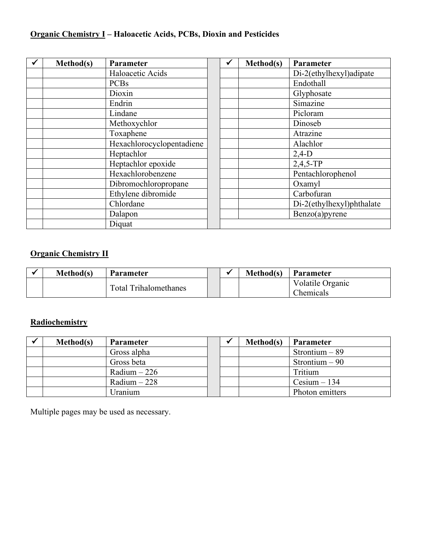# **Organic Chemistry I – Haloacetic Acids, PCBs, Dioxin and Pesticides**

| Method(s) | Parameter                 | ✔ | Method(s) | Parameter                 |
|-----------|---------------------------|---|-----------|---------------------------|
|           | Haloacetic Acids          |   |           | Di-2(ethylhexyl)adipate   |
|           | <b>PCBs</b>               |   |           | Endothall                 |
|           | Dioxin                    |   |           | Glyphosate                |
|           | Endrin                    |   |           | Simazine                  |
|           | Lindane                   |   |           | Picloram                  |
|           | Methoxychlor              |   |           | Dinoseb                   |
|           | Toxaphene                 |   |           | Atrazine                  |
|           | Hexachlorocyclopentadiene |   |           | Alachlor                  |
|           | Heptachlor                |   |           | $2,4-D$                   |
|           | Heptachlor epoxide        |   |           | $2,4,5$ -TP               |
|           | Hexachlorobenzene         |   |           | Pentachlorophenol         |
|           | Dibromochloropropane      |   |           | Oxamyl                    |
|           | Ethylene dibromide        |   |           | Carbofuran                |
|           | Chlordane                 |   |           | Di-2(ethylhexyl)phthalate |
|           | Dalapon                   |   |           | Benzo(a)pyrene            |
|           | Diquat                    |   |           |                           |

## **Organic Chemistry II**

| Method(s) | <b>Parameter</b>      |  | Method(s) | <b>Parameter</b>              |
|-----------|-----------------------|--|-----------|-------------------------------|
|           | Total Trihalomethanes |  |           | Volatile Organic<br>Chemicals |

## **Radiochemistry**

| Method(s) | <b>Parameter</b> |  | Method(s) | <b>Parameter</b> |
|-----------|------------------|--|-----------|------------------|
|           | Gross alpha      |  |           | Strontium $-89$  |
|           | Gross beta       |  |           | Strontium $-90$  |
|           | $Radium - 226$   |  |           | Tritium          |
|           | Radium $-228$    |  |           | $Cesium - 134$   |
|           | Jranium          |  |           | Photon emitters  |

Multiple pages may be used as necessary.